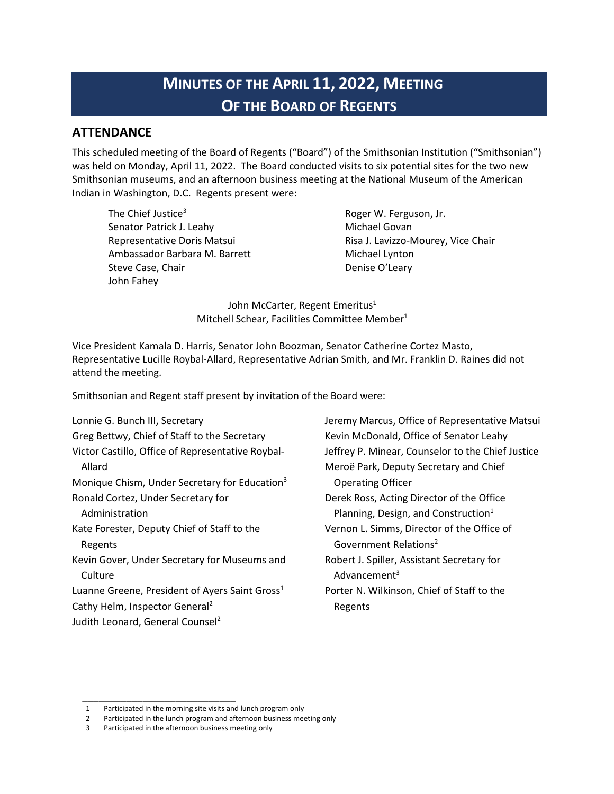# **MINUTES OF THE APRIL 11, 2022, MEETING OF THE BOARD OF REGENTS**

### **ATTENDANCE**

This scheduled meeting of the Board of Regents ("Board") of the Smithsonian Institution ("Smithsonian") was held on Monday, April 11, 2022. The Board conducted visits to six potential sites for the two new Smithsonian museums, and an afternoon business meeting at the National Museum of the American Indian in Washington, D.C. Regents present were:

The Chief Justice $3$ Senator Patrick J. Leahy Representative Doris Matsui Ambassador Barbara M. Barrett Steve Case, Chair John Fahey

Roger W. Ferguson, Jr. Michael Govan Risa J. Lavizzo-Mourey, Vice Chair Michael Lynton Denise O'Leary

John McCarter, Regent Emeritus<sup>1</sup> Mitchell Schear, Facilities Committee Member<sup>1</sup>

Vice President Kamala D. Harris, Senator John Boozman, Senator Catherine Cortez Masto, Representative Lucille Roybal-Allard, Representative Adrian Smith, and Mr. Franklin D. Raines did not attend the meeting.

Smithsonian and Regent staff present by invitation of the Board were:

Lonnie G. Bunch III, Secretary Greg Bettwy, Chief of Staff to the Secretary Victor Castillo, Office of Representative Roybal-Allard Monique Chism, Under Secretary for Education<sup>3</sup> Ronald Cortez, Under Secretary for Administration Kate Forester, Deputy Chief of Staff to the Regents Kevin Gover, Under Secretary for Museums and **Culture** Luanne Greene, President of Ayers Saint Gross $1$ Cathy Helm, Inspector General2 Judith Leonard, General Counsel<sup>2</sup>

Jeremy Marcus, Office of Representative Matsui Kevin McDonald, Office of Senator Leahy Jeffrey P. Minear, Counselor to the Chief Justice Meroë Park, Deputy Secretary and Chief Operating Officer Derek Ross, Acting Director of the Office Planning, Design, and Construction $1$ Vernon L. Simms, Director of the Office of Government Relations2 Robert J. Spiller, Assistant Secretary for Advancement<sup>3</sup> Porter N. Wilkinson, Chief of Staff to the Regents

 $\overline{\phantom{a}}$  , where the contract of the contract of the contract of the contract of the contract of the contract of the contract of the contract of the contract of the contract of the contract of the contract of the contr

<sup>1</sup> Participated in the morning site visits and lunch program only

<sup>2</sup> Participated in the lunch program and afternoon business meeting only

<sup>3</sup> Participated in the afternoon business meeting only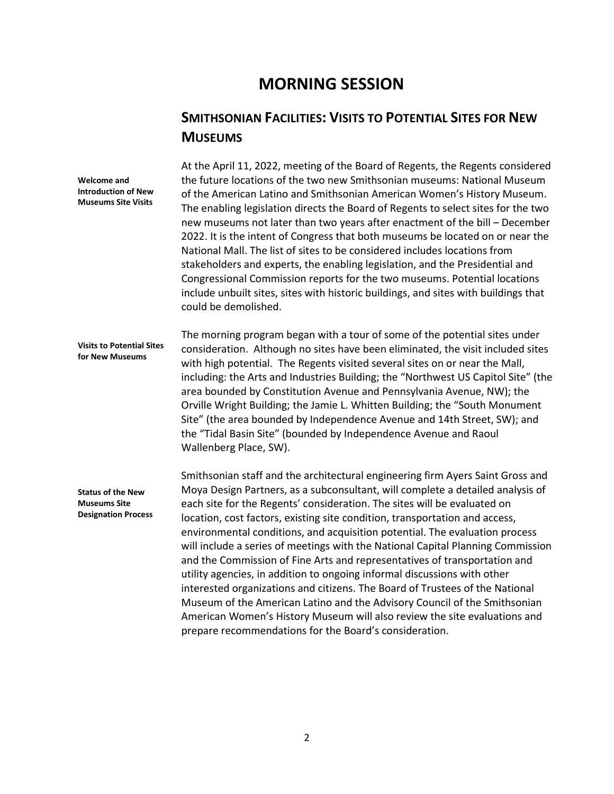## **MORNING SESSION**

### **SMITHSONIAN FACILITIES: VISITS TO POTENTIAL SITES FOR NEW MUSEUMS**

**Welcome and Introduction of New Museums Site Visits Visits to Potential Sites for New Museums Status of the New Museums Site Designation Process** At the April 11, 2022, meeting of the Board of Regents, the Regents considered the future locations of the two new Smithsonian museums: National Museum of the American Latino and Smithsonian American Women's History Museum. The enabling legislation directs the Board of Regents to select sites for the two new museums not later than two years after enactment of the bill – December 2022. It is the intent of Congress that both museums be located on or near the National Mall. The list of sites to be considered includes locations from stakeholders and experts, the enabling legislation, and the Presidential and Congressional Commission reports for the two museums. Potential locations include unbuilt sites, sites with historic buildings, and sites with buildings that could be demolished. The morning program began with a tour of some of the potential sites under consideration. Although no sites have been eliminated, the visit included sites with high potential. The Regents visited several sites on or near the Mall, including: the Arts and Industries Building; the "Northwest US Capitol Site" (the area bounded by Constitution Avenue and Pennsylvania Avenue, NW); the Orville Wright Building; the Jamie L. Whitten Building; the "South Monument Site" (the area bounded by Independence Avenue and 14th Street, SW); and the "Tidal Basin Site" (bounded by Independence Avenue and Raoul Wallenberg Place, SW). Smithsonian staff and the architectural engineering firm Ayers Saint Gross and Moya Design Partners, as a subconsultant, will complete a detailed analysis of each site for the Regents' consideration. The sites will be evaluated on location, cost factors, existing site condition, transportation and access, environmental conditions, and acquisition potential. The evaluation process will include a series of meetings with the National Capital Planning Commission and the Commission of Fine Arts and representatives of transportation and utility agencies, in addition to ongoing informal discussions with other interested organizations and citizens. The Board of Trustees of the National Museum of the American Latino and the Advisory Council of the Smithsonian

prepare recommendations for the Board's consideration.

American Women's History Museum will also review the site evaluations and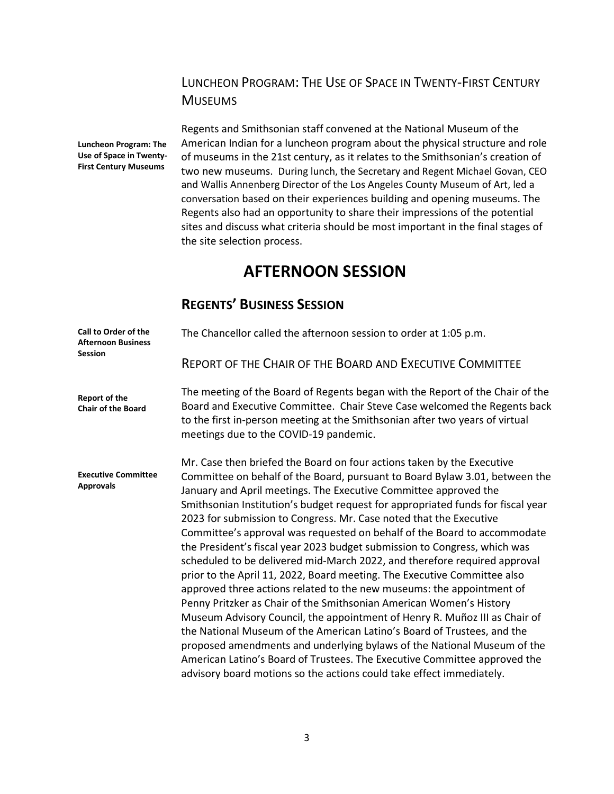### LUNCHEON PROGRAM: THE USE OF SPACE IN TWENTY-FIRST CENTURY **MUSEUMS**

**Luncheon Program: The Use of Space in Twenty-First Century Museums**

Regents and Smithsonian staff convened at the National Museum of the American Indian for a luncheon program about the physical structure and role of museums in the 21st century, as it relates to the Smithsonian's creation of two new museums.During lunch, the Secretary and Regent Michael Govan, CEO and Wallis Annenberg Director of the Los Angeles County Museum of Art, led a conversation based on their experiences building and opening museums. The Regents also had an opportunity to share their impressions of the potential sites and discuss what criteria should be most important in the final stages of the site selection process.

## **AFTERNOON SESSION**

## **REGENTS' BUSINESS SESSION**

| Call to Order of the<br><b>Afternoon Business</b><br><b>Session</b> | The Chancellor called the afternoon session to order at 1:05 p.m.                                                                                                                                                                                                                                                                                                                                                                                                                                                                                                                                                                                                                                                                                                                                                                                                                                                                                                                                             |
|---------------------------------------------------------------------|---------------------------------------------------------------------------------------------------------------------------------------------------------------------------------------------------------------------------------------------------------------------------------------------------------------------------------------------------------------------------------------------------------------------------------------------------------------------------------------------------------------------------------------------------------------------------------------------------------------------------------------------------------------------------------------------------------------------------------------------------------------------------------------------------------------------------------------------------------------------------------------------------------------------------------------------------------------------------------------------------------------|
|                                                                     | <b>REPORT OF THE CHAIR OF THE BOARD AND EXECUTIVE COMMITTEE</b>                                                                                                                                                                                                                                                                                                                                                                                                                                                                                                                                                                                                                                                                                                                                                                                                                                                                                                                                               |
| <b>Report of the</b><br><b>Chair of the Board</b>                   | The meeting of the Board of Regents began with the Report of the Chair of the<br>Board and Executive Committee. Chair Steve Case welcomed the Regents back<br>to the first in-person meeting at the Smithsonian after two years of virtual<br>meetings due to the COVID-19 pandemic.                                                                                                                                                                                                                                                                                                                                                                                                                                                                                                                                                                                                                                                                                                                          |
| <b>Executive Committee</b><br><b>Approvals</b>                      | Mr. Case then briefed the Board on four actions taken by the Executive<br>Committee on behalf of the Board, pursuant to Board Bylaw 3.01, between the<br>January and April meetings. The Executive Committee approved the<br>Smithsonian Institution's budget request for appropriated funds for fiscal year<br>2023 for submission to Congress. Mr. Case noted that the Executive<br>Committee's approval was requested on behalf of the Board to accommodate<br>the President's fiscal year 2023 budget submission to Congress, which was<br>scheduled to be delivered mid-March 2022, and therefore required approval<br>prior to the April 11, 2022, Board meeting. The Executive Committee also<br>approved three actions related to the new museums: the appointment of<br>Penny Pritzker as Chair of the Smithsonian American Women's History<br>Museum Advisory Council, the appointment of Henry R. Muñoz III as Chair of<br>the National Museum of the American Latino's Board of Trustees, and the |
|                                                                     | proposed amendments and underlying bylaws of the National Museum of the<br>American Latino's Board of Trustees. The Executive Committee approved the<br>advisory board motions so the actions could take effect immediately.                                                                                                                                                                                                                                                                                                                                                                                                                                                                                                                                                                                                                                                                                                                                                                                  |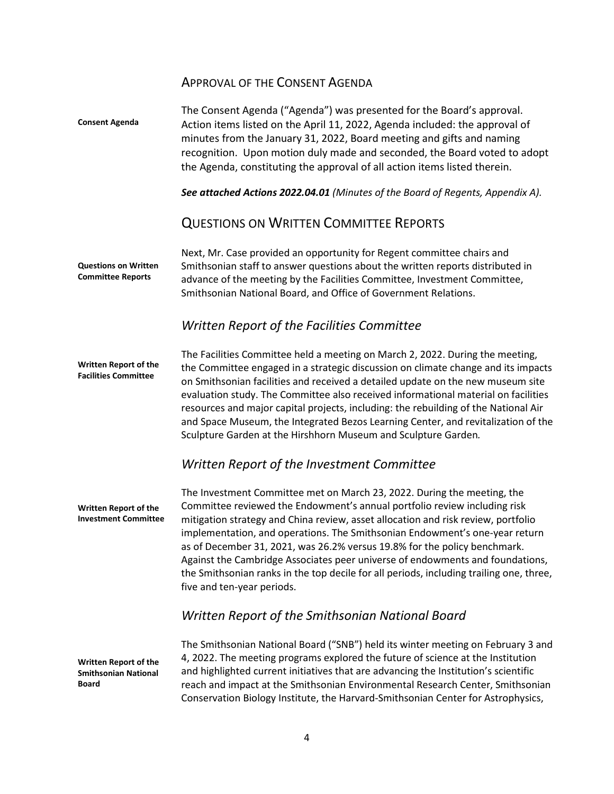### APPROVAL OF THE CONSENT AGENDA

**Consent Agenda Questions on Written Committee Reports Written Report of the Facilities Committee Written Report of the Investment Committee Written Report of the Smithsonian National Board** The Consent Agenda ("Agenda") was presented for the Board's approval. Action items listed on the April 11, 2022, Agenda included: the approval of minutes from the January 31, 2022, Board meeting and gifts and naming recognition. Upon motion duly made and seconded, the Board voted to adopt the Agenda, constituting the approval of all action items listed therein. *See attached Actions 2022.04.01 (Minutes of the Board of Regents, Appendix A).* QUESTIONS ON WRITTEN COMMITTEE REPORTS Next, Mr. Case provided an opportunity for Regent committee chairs and Smithsonian staff to answer questions about the written reports distributed in advance of the meeting by the Facilities Committee, Investment Committee, Smithsonian National Board, and Office of Government Relations. *Written Report of the Facilities Committee* The Facilities Committee held a meeting on March 2, 2022. During the meeting, the Committee engaged in a strategic discussion on climate change and its impacts on Smithsonian facilities and received a detailed update on the new museum site evaluation study. The Committee also received informational material on facilities resources and major capital projects, including: the rebuilding of the National Air and Space Museum, the Integrated Bezos Learning Center, and revitalization of the Sculpture Garden at the Hirshhorn Museum and Sculpture Garden*. Written Report of the Investment Committee* The Investment Committee met on March 23, 2022. During the meeting, the Committee reviewed the Endowment's annual portfolio review including risk mitigation strategy and China review, asset allocation and risk review, portfolio implementation, and operations. The Smithsonian Endowment's one-year return as of December 31, 2021, was 26.2% versus 19.8% for the policy benchmark. Against the Cambridge Associates peer universe of endowments and foundations, the Smithsonian ranks in the top decile for all periods, including trailing one, three, five and ten-year periods. *Written Report of the Smithsonian National Board* The Smithsonian National Board ("SNB") held its winter meeting on February 3 and 4, 2022. The meeting programs explored the future of science at the Institution and highlighted current initiatives that are advancing the Institution's scientific reach and impact at the Smithsonian Environmental Research Center, Smithsonian Conservation Biology Institute, the Harvard-Smithsonian Center for Astrophysics,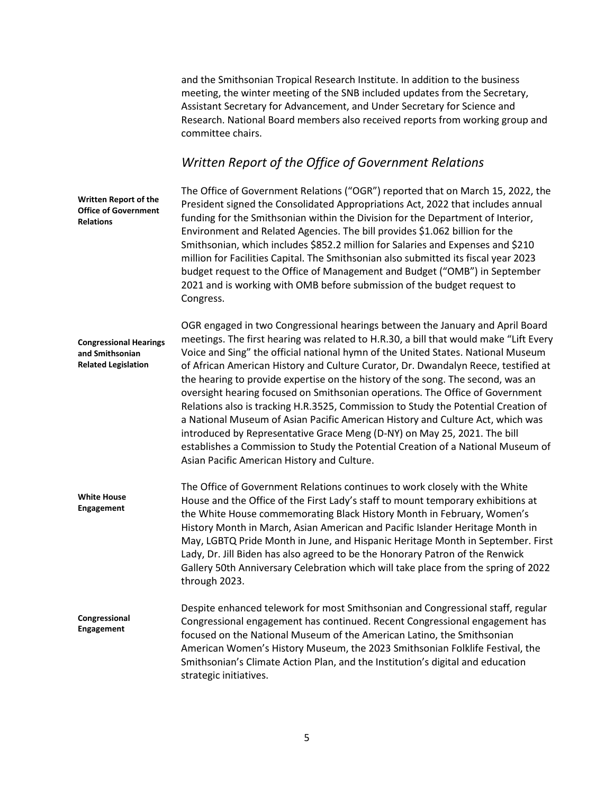and the Smithsonian Tropical Research Institute. In addition to the business meeting, the winter meeting of the SNB included updates from the Secretary, Assistant Secretary for Advancement, and Under Secretary for Science and Research. National Board members also received reports from working group and committee chairs.

### *Written Report of the Office of Government Relations*

**Written Report of the Office of Government Relations**

The Office of Government Relations ("OGR") reported that on March 15, 2022, the President signed the Consolidated Appropriations Act, 2022 that includes annual funding for the Smithsonian within the Division for the Department of Interior, Environment and Related Agencies. The bill provides \$1.062 billion for the Smithsonian, which includes \$852.2 million for Salaries and Expenses and \$210 million for Facilities Capital. The Smithsonian also submitted its fiscal year 2023 budget request to the Office of Management and Budget ("OMB") in September 2021 and is working with OMB before submission of the budget request to Congress.

**Congressional Hearings and Smithsonian Related Legislation** OGR engaged in two Congressional hearings between the January and April Board meetings. The first hearing was related to H.R.30, a bill that would make "Lift Every Voice and Sing" the official national hymn of the United States. National Museum of African American History and Culture Curator, Dr. Dwandalyn Reece, testified at the hearing to provide expertise on the history of the song. The second, was an oversight hearing focused on Smithsonian operations. The Office of Government Relations also is tracking H.R.3525, Commission to Study the Potential Creation of a National Museum of Asian Pacific American History and Culture Act, which was introduced by Representative Grace Meng (D-NY) on May 25, 2021. The bill establishes a Commission to Study the Potential Creation of a National Museum of Asian Pacific American History and Culture.

**White House Engagement** The Office of Government Relations continues to work closely with the White House and the Office of the First Lady's staff to mount temporary exhibitions at the White House commemorating Black History Month in February, Women's History Month in March, Asian American and Pacific Islander Heritage Month in May, LGBTQ Pride Month in June, and Hispanic Heritage Month in September. First Lady, Dr. Jill Biden has also agreed to be the Honorary Patron of the Renwick Gallery 50th Anniversary Celebration which will take place from the spring of 2022 through 2023.

**Congressional Engagement** Despite enhanced telework for most Smithsonian and Congressional staff, regular Congressional engagement has continued. Recent Congressional engagement has focused on the National Museum of the American Latino, the Smithsonian American Women's History Museum, the 2023 Smithsonian Folklife Festival, the Smithsonian's Climate Action Plan, and the Institution's digital and education strategic initiatives.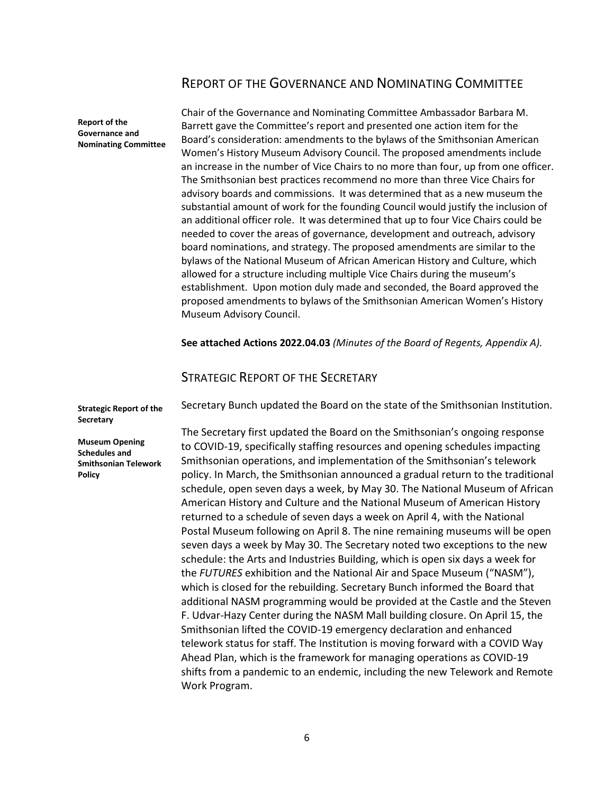### REPORT OF THE GOVERNANCE AND NOMINATING COMMITTEE

**Report of the Governance and Nominating Committee** Chair of the Governance and Nominating Committee Ambassador Barbara M. Barrett gave the Committee's report and presented one action item for the Board's consideration: amendments to the bylaws of the Smithsonian American Women's History Museum Advisory Council. The proposed amendments include an increase in the number of Vice Chairs to no more than four, up from one officer. The Smithsonian best practices recommend no more than three Vice Chairs for advisory boards and commissions. It was determined that as a new museum the substantial amount of work for the founding Council would justify the inclusion of an additional officer role. It was determined that up to four Vice Chairs could be needed to cover the areas of governance, development and outreach, advisory board nominations, and strategy. The proposed amendments are similar to the bylaws of the National Museum of African American History and Culture, which allowed for a structure including multiple Vice Chairs during the museum's establishment. Upon motion duly made and seconded, the Board approved the proposed amendments to bylaws of the Smithsonian American Women's History Museum Advisory Council.

**See attached Actions 2022.04.03** *(Minutes of the Board of Regents, Appendix A).*

### STRATEGIC REPORT OF THE SECRETARY

Secretary Bunch updated the Board on the state of the Smithsonian Institution.

**Museum Opening Schedules and Smithsonian Telework** 

**Strategic Report of the** 

**Secretary**

**Policy**

The Secretary first updated the Board on the Smithsonian's ongoing response to COVID-19, specifically staffing resources and opening schedules impacting Smithsonian operations, and implementation of the Smithsonian's telework policy. In March, the Smithsonian announced a gradual return to the traditional schedule, open seven days a week, by May 30. The National Museum of African American History and Culture and the National Museum of American History returned to a schedule of seven days a week on April 4, with the National Postal Museum following on April 8. The nine remaining museums will be open seven days a week by May 30. The Secretary noted two exceptions to the new schedule: the Arts and Industries Building, which is open six days a week for the *FUTURES* exhibition and the National Air and Space Museum ("NASM"), which is closed for the rebuilding. Secretary Bunch informed the Board that additional NASM programming would be provided at the Castle and the Steven F. Udvar-Hazy Center during the NASM Mall building closure. On April 15, the Smithsonian lifted the COVID-19 emergency declaration and enhanced telework status for staff. The Institution is moving forward with a COVID Way Ahead Plan, which is the framework for managing operations as COVID-19 shifts from a pandemic to an endemic, including the new Telework and Remote Work Program.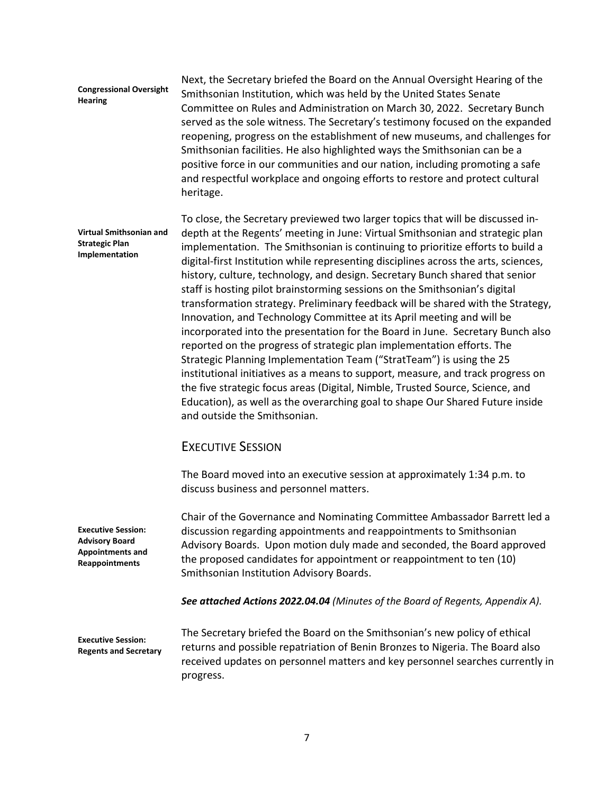#### **Congressional Oversight Hearing**

Next, the Secretary briefed the Board on the Annual Oversight Hearing of the Smithsonian Institution, which was held by the United States Senate Committee on Rules and Administration on March 30, 2022. Secretary Bunch served as the sole witness. The Secretary's testimony focused on the expanded reopening, progress on the establishment of new museums, and challenges for Smithsonian facilities. He also highlighted ways the Smithsonian can be a positive force in our communities and our nation, including promoting a safe and respectful workplace and ongoing efforts to restore and protect cultural heritage.

**Virtual Smithsonian and Strategic Plan Implementation** To close, the Secretary previewed two larger topics that will be discussed indepth at the Regents' meeting in June: Virtual Smithsonian and strategic plan implementation. The Smithsonian is continuing to prioritize efforts to build a digital-first Institution while representing disciplines across the arts, sciences, history, culture, technology, and design. Secretary Bunch shared that senior staff is hosting pilot brainstorming sessions on the Smithsonian's digital transformation strategy. Preliminary feedback will be shared with the Strategy, Innovation, and Technology Committee at its April meeting and will be incorporated into the presentation for the Board in June. Secretary Bunch also reported on the progress of strategic plan implementation efforts. The Strategic Planning Implementation Team ("StratTeam") is using the 25 institutional initiatives as a means to support, measure, and track progress on the five strategic focus areas (Digital, Nimble, Trusted Source, Science, and Education), as well as the overarching goal to shape Our Shared Future inside and outside the Smithsonian.

### EXECUTIVE SESSION

The Board moved into an executive session at approximately 1:34 p.m. to discuss business and personnel matters.

Chair of the Governance and Nominating Committee Ambassador Barrett led a discussion regarding appointments and reappointments to Smithsonian Advisory Boards. Upon motion duly made and seconded, the Board approved the proposed candidates for appointment or reappointment to ten (10) Smithsonian Institution Advisory Boards.

*See attached Actions 2022.04.04 (Minutes of the Board of Regents, Appendix A).*

**Executive Session: Regents and Secretary**

**Executive Session: Advisory Board Appointments and Reappointments**

> The Secretary briefed the Board on the Smithsonian's new policy of ethical returns and possible repatriation of Benin Bronzes to Nigeria. The Board also received updates on personnel matters and key personnel searches currently in progress.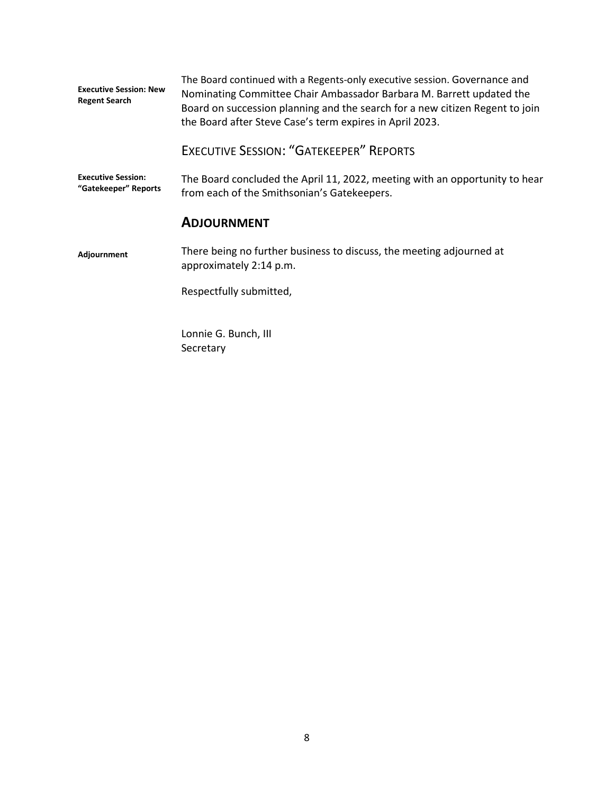| <b>Executive Session: New</b><br><b>Regent Search</b> | The Board continued with a Regents-only executive session. Governance and<br>Nominating Committee Chair Ambassador Barbara M. Barrett updated the<br>Board on succession planning and the search for a new citizen Regent to join<br>the Board after Steve Case's term expires in April 2023. |
|-------------------------------------------------------|-----------------------------------------------------------------------------------------------------------------------------------------------------------------------------------------------------------------------------------------------------------------------------------------------|
|                                                       | <b>EXECUTIVE SESSION: "GATEKEEPER" REPORTS</b>                                                                                                                                                                                                                                                |
| <b>Executive Session:</b><br>"Gatekeeper" Reports     | The Board concluded the April 11, 2022, meeting with an opportunity to hear<br>from each of the Smithsonian's Gatekeepers.                                                                                                                                                                    |
|                                                       | <b>ADJOURNMENT</b>                                                                                                                                                                                                                                                                            |
| Adjournment                                           | There being no further business to discuss, the meeting adjourned at<br>approximately 2:14 p.m.                                                                                                                                                                                               |
|                                                       | Respectfully submitted,                                                                                                                                                                                                                                                                       |
|                                                       | Lonnie G. Bunch, III<br>Secretary                                                                                                                                                                                                                                                             |